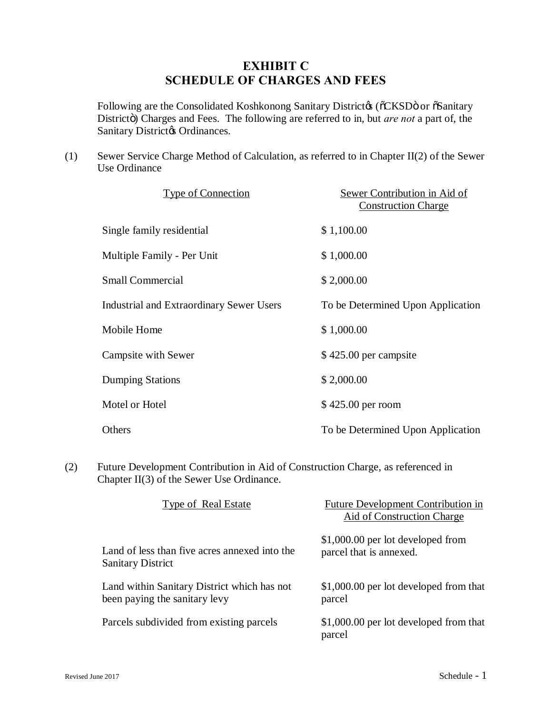## **EXHIBIT C SCHEDULE OF CHARGES AND FEES**

Following are the Consolidated Koshkonong Sanitary District ( $\delta$ CKSD $\ddot{o}$  or  $\delta$ Sanitary Districto) Charges and Fees. The following are referred to in, but *are not* a part of, the Sanitary District & Ordinances.

(1) Sewer Service Charge Method of Calculation, as referred to in Chapter II(2) of the Sewer Use Ordinance

| <b>Type of Connection</b>                       | Sewer Contribution in Aid of<br><b>Construction Charge</b> |
|-------------------------------------------------|------------------------------------------------------------|
| Single family residential                       | \$1,100.00                                                 |
| <b>Multiple Family - Per Unit</b>               | \$1,000.00                                                 |
| <b>Small Commercial</b>                         | \$2,000.00                                                 |
| <b>Industrial and Extraordinary Sewer Users</b> | To be Determined Upon Application                          |
| Mobile Home                                     | \$1,000.00                                                 |
| <b>Campsite with Sewer</b>                      | \$425.00 per campsite                                      |
| <b>Dumping Stations</b>                         | \$2,000.00                                                 |
| Motel or Hotel                                  | \$425.00 per room                                          |
| Others                                          | To be Determined Upon Application                          |

(2) Future Development Contribution in Aid of Construction Charge, as referenced in Chapter II(3) of the Sewer Use Ordinance.

| Type of Real Estate                           | Future Development Contribution in<br><b>Aid of Construction Charge</b> |
|-----------------------------------------------|-------------------------------------------------------------------------|
| Land of less than five acres annexed into the | \$1,000.00 per lot developed from                                       |
| Sanitary District                             | parcel that is annexed.                                                 |
| Land within Sanitary District which has not   | \$1,000.00 per lot developed from that                                  |
| been paying the sanitary levy                 | parcel                                                                  |
| Parcels subdivided from existing parcels      | \$1,000.00 per lot developed from that<br>parcel                        |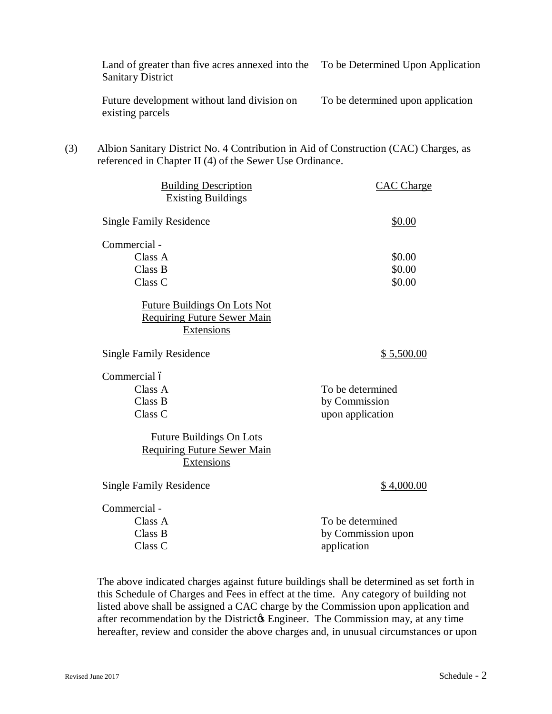|     | Land of greater than five acres annexed into the<br><b>Sanitary District</b>                                                                     | To be Determined Upon Application                     |
|-----|--------------------------------------------------------------------------------------------------------------------------------------------------|-------------------------------------------------------|
|     | Future development without land division on<br>existing parcels                                                                                  | To be determined upon application                     |
| (3) | Albion Sanitary District No. 4 Contribution in Aid of Construction (CAC) Charges, as<br>referenced in Chapter II (4) of the Sewer Use Ordinance. |                                                       |
|     | <b>Building Description</b><br><b>Existing Buildings</b>                                                                                         | <b>CAC</b> Charge                                     |
|     | <b>Single Family Residence</b>                                                                                                                   | \$0.00                                                |
|     | Commercial -<br>Class A<br>Class B<br>Class C                                                                                                    | \$0.00<br>\$0.00<br>\$0.00                            |
|     | <b>Future Buildings On Lots Not</b><br><b>Requiring Future Sewer Main</b><br><b>Extensions</b>                                                   |                                                       |
|     | <b>Single Family Residence</b>                                                                                                                   | \$5,500.00                                            |
|     | Commercial ó<br>Class A<br>Class B<br>Class C<br><b>Future Buildings On Lots</b><br><b>Requiring Future Sewer Main</b><br>Extensions             | To be determined<br>by Commission<br>upon application |
|     | <b>Single Family Residence</b>                                                                                                                   | \$4,000.00                                            |
|     | Commercial -<br>Class A<br>Class B<br>Class <sub>C</sub>                                                                                         | To be determined<br>by Commission upon<br>application |
|     |                                                                                                                                                  |                                                       |

The above indicated charges against future buildings shall be determined as set forth in this Schedule of Charges and Fees in effect at the time. Any category of building not listed above shall be assigned a CAC charge by the Commission upon application and after recommendation by the District & Engineer. The Commission may, at any time hereafter, review and consider the above charges and, in unusual circumstances or upon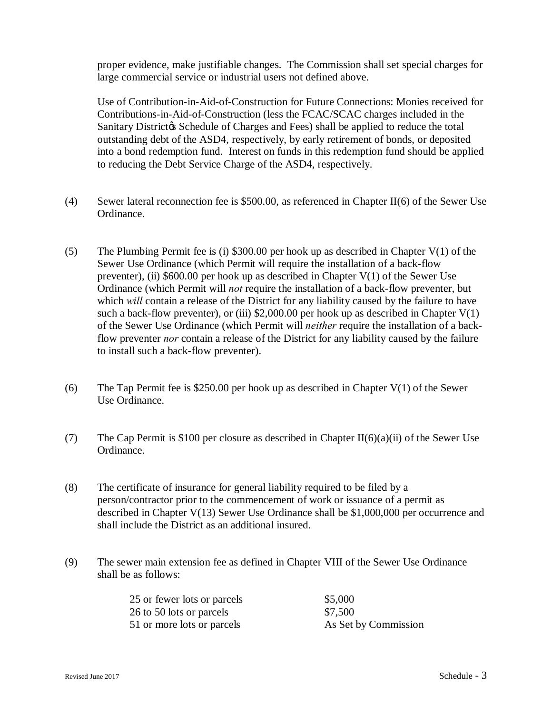proper evidence, make justifiable changes. The Commission shall set special charges for large commercial service or industrial users not defined above.

Use of Contribution-in-Aid-of-Construction for Future Connections: Monies received for Contributions-in-Aid-of-Construction (less the FCAC/SCAC charges included in the Sanitary Districtos Schedule of Charges and Fees) shall be applied to reduce the total outstanding debt of the ASD4, respectively, by early retirement of bonds, or deposited into a bond redemption fund. Interest on funds in this redemption fund should be applied to reducing the Debt Service Charge of the ASD4, respectively.

- (4) Sewer lateral reconnection fee is \$500.00, as referenced in Chapter II(6) of the Sewer Use Ordinance.
- (5) The Plumbing Permit fee is (i) \$300.00 per hook up as described in Chapter V(1) of the Sewer Use Ordinance (which Permit will require the installation of a back-flow preventer), (ii)  $$600.00$  per hook up as described in Chapter V(1) of the Sewer Use Ordinance (which Permit will *not* require the installation of a back-flow preventer, but which *will* contain a release of the District for any liability caused by the failure to have such a back-flow preventer), or (iii) \$2,000.00 per hook up as described in Chapter  $V(1)$ of the Sewer Use Ordinance (which Permit will *neither* require the installation of a backflow preventer *nor* contain a release of the District for any liability caused by the failure to install such a back-flow preventer).
- (6) The Tap Permit fee is \$250.00 per hook up as described in Chapter V(1) of the Sewer Use Ordinance.
- (7) The Cap Permit is \$100 per closure as described in Chapter II(6)(a)(ii) of the Sewer Use Ordinance.
- (8) The certificate of insurance for general liability required to be filed by a person/contractor prior to the commencement of work or issuance of a permit as described in Chapter V(13) Sewer Use Ordinance shall be \$1,000,000 per occurrence and shall include the District as an additional insured.
- (9) The sewer main extension fee as defined in Chapter VIII of the Sewer Use Ordinance shall be as follows:

| 25 or fewer lots or parcels | \$5,000              |
|-----------------------------|----------------------|
| 26 to 50 lots or parcels    | \$7,500              |
| 51 or more lots or parcels  | As Set by Commission |